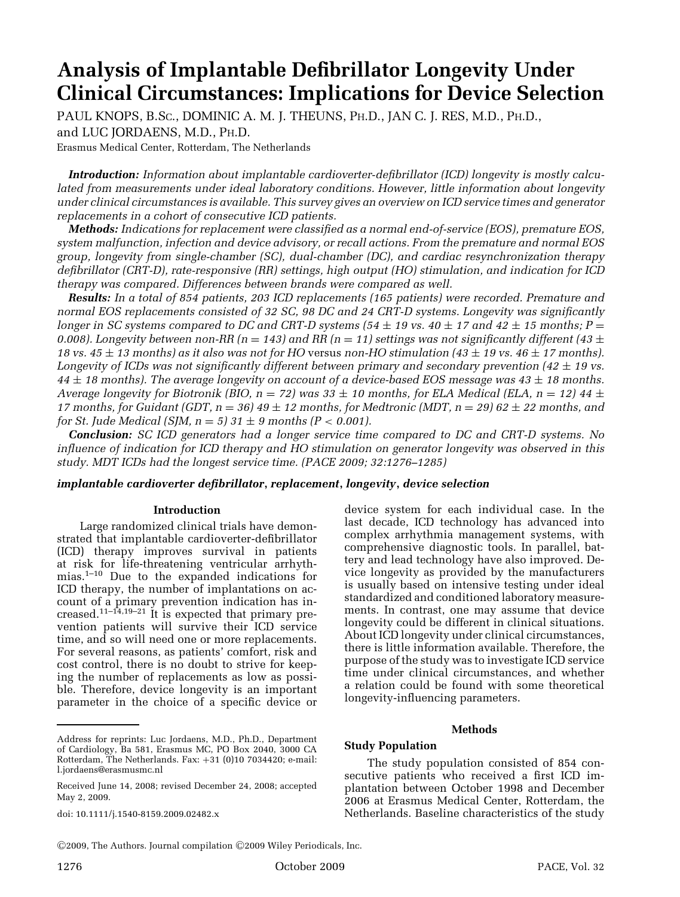# **Analysis of Implantable Defibrillator Longevity Under Clinical Circumstances: Implications for Device Selection**

PAUL KNOPS, B.SC., DOMINIC A. M. J. THEUNS, PH.D., JAN C. J. RES, M.D., PH.D., and LUC JORDAENS, M.D., PH.D.

Erasmus Medical Center, Rotterdam, The Netherlands

*Introduction: Information about implantable cardioverter-defibrillator (ICD) longevity is mostly calculated from measurements under ideal laboratory conditions. However, little information about longevity under clinical circumstances is available. This survey gives an overview on ICD service times and generator replacements in a cohort of consecutive ICD patients.*

*Methods: Indications for replacement were classified as a normal end-of-service (EOS), premature EOS, system malfunction, infection and device advisory, or recall actions. From the premature and normal EOS group, longevity from single-chamber (SC), dual-chamber (DC), and cardiac resynchronization therapy defibrillator (CRT-D), rate-responsive (RR) settings, high output (HO) stimulation, and indication for ICD therapy was compared. Differences between brands were compared as well.*

*Results: In a total of 854 patients, 203 ICD replacements (165 patients) were recorded. Premature and normal EOS replacements consisted of 32 SC, 98 DC and 24 CRT-D systems. Longevity was significantly longer in SC systems compared to DC and CRT-D systems (54*  $\pm$  19 vs. 40  $\pm$  17 and 42  $\pm$  15 months; P = 0.008). Longevity between non-RR ( $n = 143$ ) and RR ( $n = 11$ ) settings was not significantly different (43  $\pm$ *18 vs. 45* ± *13 months) as it also was not for HO* versus *non-HO stimulation (43* ± *19 vs. 46* ± *17 months). Longevity of ICDs was not significantly different between primary and secondary prevention (42*  $\pm$  *19 vs.*  $44 \pm 18$  months). The average longevity on account of a device-based EOS message was  $43 \pm 18$  months. *Average longevity for Biotronik (BIO, n* = 72) was  $33 \pm 10$  months, for ELA Medical (ELA, n = 12) 44  $\pm$ *17 months, for Guidant (GDT, n* = *36) 49* ± *12 months, for Medtronic (MDT, n* = *29) 62* ± *22 months, and for St. Jude Medical (SJM, n = 5)*  $31 \pm 9$  months (P < 0.001).

*Conclusion: SC ICD generators had a longer service time compared to DC and CRT-D systems. No influence of indication for ICD therapy and HO stimulation on generator longevity was observed in this study. MDT ICDs had the longest service time. (PACE 2009; 32:1276–1285)*

#### *implantable cardioverter defibrillator***,** *replacement***,** *longevity***,** *device selection*

#### **Introduction**

Large randomized clinical trials have demonstrated that implantable cardioverter-defibrillator (ICD) therapy improves survival in patients at risk for life-threatening ventricular arrhythmias.1–10 Due to the expanded indications for ICD therapy, the number of implantations on account of a primary prevention indication has increased.<sup>11–14,19–21</sup> It is expected that primary prevention patients will survive their ICD service time, and so will need one or more replacements. For several reasons, as patients' comfort, risk and cost control, there is no doubt to strive for keeping the number of replacements as low as possible. Therefore, device longevity is an important parameter in the choice of a specific device or

doi: 10.1111/j.1540-8159.2009.02482.x

device system for each individual case. In the last decade, ICD technology has advanced into complex arrhythmia management systems, with comprehensive diagnostic tools. In parallel, battery and lead technology have also improved. Device longevity as provided by the manufacturers is usually based on intensive testing under ideal standardized and conditioned laboratory measurements. In contrast, one may assume that device longevity could be different in clinical situations. About ICD longevity under clinical circumstances, there is little information available. Therefore, the purpose of the study was to investigate ICD service time under clinical circumstances, and whether a relation could be found with some theoretical longevity-influencing parameters.

# **Methods**

# **Study Population**

The study population consisted of 854 consecutive patients who received a first ICD implantation between October 1998 and December 2006 at Erasmus Medical Center, Rotterdam, the Netherlands. Baseline characteristics of the study

©2009, The Authors. Journal compilation ©2009 Wiley Periodicals, Inc.

Address for reprints: Luc Jordaens, M.D., Ph.D., Department of Cardiology, Ba 581, Erasmus MC, PO Box 2040, 3000 CA Rotterdam, The Netherlands. Fax: +31 (0)10 7034420; e-mail: l.jordaens@erasmusmc.nl

Received June 14, 2008; revised December 24, 2008; accepted May 2, 2009.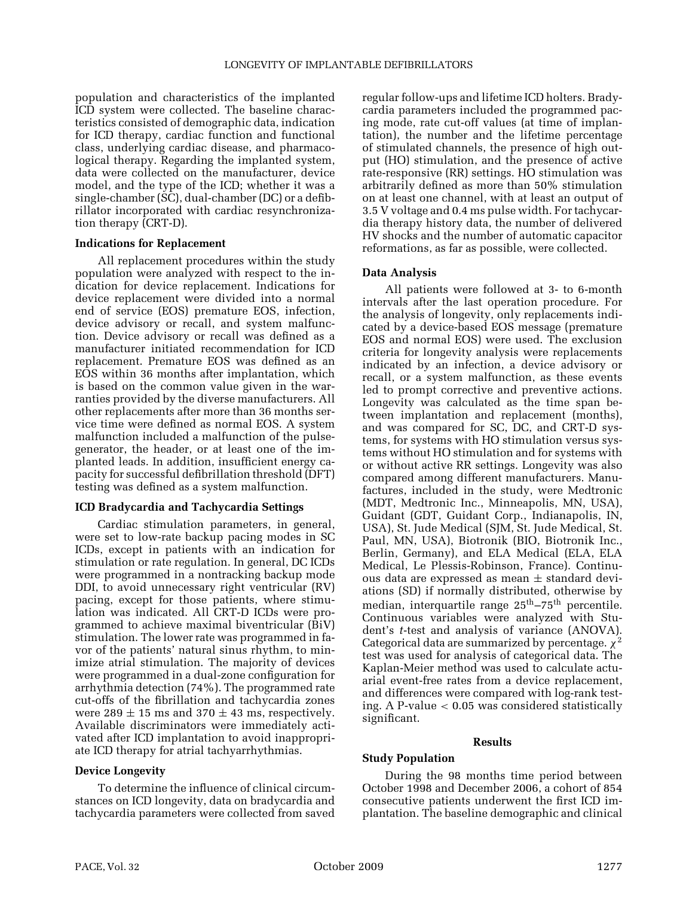population and characteristics of the implanted ICD system were collected. The baseline characteristics consisted of demographic data, indication for ICD therapy, cardiac function and functional class, underlying cardiac disease, and pharmacological therapy. Regarding the implanted system, data were collected on the manufacturer, device model, and the type of the ICD; whether it was a single-chamber (SC), dual-chamber (DC) or a defibrillator incorporated with cardiac resynchronization therapy (CRT-D).

## **Indications for Replacement**

All replacement procedures within the study population were analyzed with respect to the indication for device replacement. Indications for device replacement were divided into a normal end of service (EOS) premature EOS, infection, device advisory or recall, and system malfunction. Device advisory or recall was defined as a manufacturer initiated recommendation for ICD replacement. Premature EOS was defined as an EOS within 36 months after implantation, which is based on the common value given in the warranties provided by the diverse manufacturers. All other replacements after more than 36 months service time were defined as normal EOS. A system malfunction included a malfunction of the pulsegenerator, the header, or at least one of the implanted leads. In addition, insufficient energy capacity for successful defibrillation threshold (DFT) testing was defined as a system malfunction.

# **ICD Bradycardia and Tachycardia Settings**

Cardiac stimulation parameters, in general, were set to low-rate backup pacing modes in SC ICDs, except in patients with an indication for stimulation or rate regulation. In general, DC ICDs were programmed in a nontracking backup mode DDI, to avoid unnecessary right ventricular (RV) pacing, except for those patients, where stimulation was indicated. All CRT-D ICDs were programmed to achieve maximal biventricular (BiV) stimulation. The lower rate was programmed in favor of the patients' natural sinus rhythm, to minimize atrial stimulation. The majority of devices were programmed in a dual-zone configuration for arrhythmia detection (74%). The programmed rate cut-offs of the fibrillation and tachycardia zones were  $289 \pm 15$  ms and  $370 \pm 43$  ms, respectively. Available discriminators were immediately activated after ICD implantation to avoid inappropriate ICD therapy for atrial tachyarrhythmias.

# **Device Longevity**

To determine the influence of clinical circumstances on ICD longevity, data on bradycardia and tachycardia parameters were collected from saved regular follow-ups and lifetime ICD holters. Bradycardia parameters included the programmed pacing mode, rate cut-off values (at time of implantation), the number and the lifetime percentage of stimulated channels, the presence of high output (HO) stimulation, and the presence of active rate-responsive (RR) settings. HO stimulation was arbitrarily defined as more than 50% stimulation on at least one channel, with at least an output of 3.5 V voltage and 0.4 ms pulse width. For tachycardia therapy history data, the number of delivered HV shocks and the number of automatic capacitor reformations, as far as possible, were collected.

# **Data Analysis**

All patients were followed at 3- to 6-month intervals after the last operation procedure. For the analysis of longevity, only replacements indicated by a device-based EOS message (premature EOS and normal EOS) were used. The exclusion criteria for longevity analysis were replacements indicated by an infection, a device advisory or recall, or a system malfunction, as these events led to prompt corrective and preventive actions. Longevity was calculated as the time span between implantation and replacement (months), and was compared for SC, DC, and CRT-D systems, for systems with HO stimulation versus systems without HO stimulation and for systems with or without active RR settings. Longevity was also compared among different manufacturers. Manufactures, included in the study, were Medtronic (MDT, Medtronic Inc., Minneapolis, MN, USA), Guidant (GDT, Guidant Corp., Indianapolis, IN, USA), St. Jude Medical (SJM, St. Jude Medical, St. Paul, MN, USA), Biotronik (BIO, Biotronik Inc., Berlin, Germany), and ELA Medical (ELA, ELA Medical, Le Plessis-Robinson, France). Continuous data are expressed as mean  $\pm$  standard deviations (SD) if normally distributed, otherwise by median, interquartile range  $25<sup>th</sup> - 75<sup>th</sup>$  percentile. Continuous variables were analyzed with Student's *t*-test and analysis of variance (ANOVA). Categorical data are summarized by percentage.  $\chi^2$ test was used for analysis of categorical data. The Kaplan-Meier method was used to calculate actuarial event-free rates from a device replacement, and differences were compared with log-rank testing. A P-value < 0.05 was considered statistically significant.

#### **Results**

# **Study Population**

During the 98 months time period between October 1998 and December 2006, a cohort of 854 consecutive patients underwent the first ICD implantation. The baseline demographic and clinical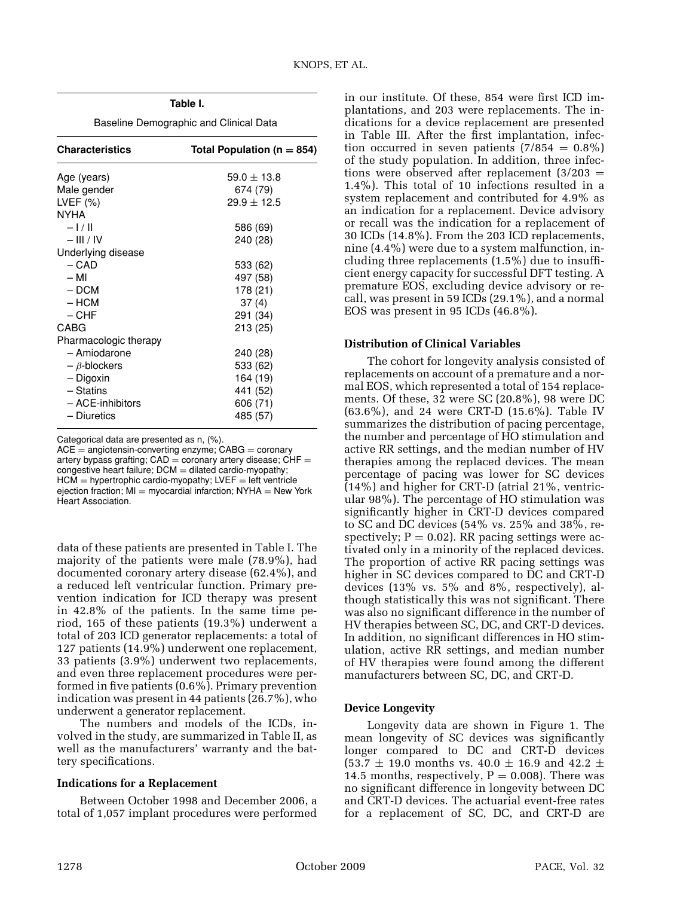## **Table I.**

Baseline Demographic and Clinical Data

| <b>Characteristics</b> | Total Population ( $n = 854$ ) |
|------------------------|--------------------------------|
| Age (years)            | $59.0 \pm 13.8$                |
| Male gender            | 674 (79)                       |
| LVEF $(%)$             | $29.9 \pm 12.5$                |
| <b>NYHA</b>            |                                |
| $-1/11$                | 586 (69)                       |
| $-$ III / IV           | 240 (28)                       |
| Underlying disease     |                                |
| $-CAD$                 | 533 (62)                       |
| $- M1$                 | 497 (58)                       |
| $-$ DCM                | 178 (21)                       |
| $-$ HCM                | 37(4)                          |
| $-$ CHF                | 291 (34)                       |
| CABG                   | 213 (25)                       |
| Pharmacologic therapy  |                                |
| - Amiodarone           | 240 (28)                       |
| $-\beta$ -blockers     | 533 (62)                       |
| – Digoxin              | 164 (19)                       |
| $-$ Statins            | 441 (52)                       |
| $-$ ACE-inhibitors     | 606 (71)                       |
| - Diuretics            | 485 (57)                       |

Categorical data are presented as n, (%).

 $ACE = angiotensin-converting$  enzyme;  $CABG = coronary$ artery bypass grafting;  $CAD =$  coronary artery disease;  $CHF =$ congestive heart failure;  $DCM =$  dilated cardio-myopathy;  $HCM =$  hypertrophic cardio-myopathy; LVEF = left ventricle  $e$ jection fraction; MI = myocardial infarction; NYHA = New York Heart Association.

data of these patients are presented in Table I. The majority of the patients were male (78.9%), had documented coronary artery disease (62.4%), and a reduced left ventricular function. Primary prevention indication for ICD therapy was present in 42.8% of the patients. In the same time period, 165 of these patients (19.3%) underwent a total of 203 ICD generator replacements: a total of 127 patients (14.9%) underwent one replacement, 33 patients (3.9%) underwent two replacements, and even three replacement procedures were performed in five patients (0.6%). Primary prevention indication was present in 44 patients (26.7%), who underwent a generator replacement.

The numbers and models of the ICDs, involved in the study, are summarized in Table II, as well as the manufacturers' warranty and the battery specifications.

# **Indications for a Replacement**

Between October 1998 and December 2006, a total of 1,057 implant procedures were performed in our institute. Of these, 854 were first ICD implantations, and 203 were replacements. The indications for a device replacement are presented in Table III. After the first implantation, infection occurred in seven patients  $(7/854 = 0.8\%)$ of the study population. In addition, three infections were observed after replacement  $(3/203 =$ 1.4%). This total of 10 infections resulted in a system replacement and contributed for 4.9% as an indication for a replacement. Device advisory or recall was the indication for a replacement of 30 ICDs (14.8%). From the 203 ICD replacements, nine (4.4%) were due to a system malfunction, including three replacements (1.5%) due to insufficient energy capacity for successful DFT testing. A premature EOS, excluding device advisory or recall, was present in 59 ICDs (29.1%), and a normal EOS was present in 95 ICDs (46.8%).

# **Distribution of Clinical Variables**

The cohort for longevity analysis consisted of replacements on account of a premature and a normal EOS, which represented a total of 154 replacements. Of these, 32 were SC (20.8%), 98 were DC (63.6%), and 24 were CRT-D (15.6%). Table IV summarizes the distribution of pacing percentage, the number and percentage of HO stimulation and active RR settings, and the median number of HV therapies among the replaced devices. The mean percentage of pacing was lower for SC devices (14%) and higher for CRT-D (atrial 21%, ventricular 98%). The percentage of HO stimulation was significantly higher in CRT-D devices compared to SC and DC devices (54% vs. 25% and 38%, respectively;  $P = 0.02$ . RR pacing settings were activated only in a minority of the replaced devices. The proportion of active RR pacing settings was higher in SC devices compared to DC and CRT-D devices (13% vs. 5% and 8%, respectively), although statistically this was not significant. There was also no significant difference in the number of HV therapies between SC, DC, and CRT-D devices. In addition, no significant differences in HO stimulation, active RR settings, and median number of HV therapies were found among the different manufacturers between SC, DC, and CRT-D.

# **Device Longevity**

Longevity data are shown in Figure 1. The mean longevity of SC devices was significantly longer compared to DC and CRT-D devices (53.7  $\pm$  19.0 months vs. 40.0  $\pm$  16.9 and 42.2  $\pm$ 14.5 months, respectively,  $P = 0.008$ ). There was no significant difference in longevity between DC and CRT-D devices. The actuarial event-free rates for a replacement of SC, DC, and CRT-D are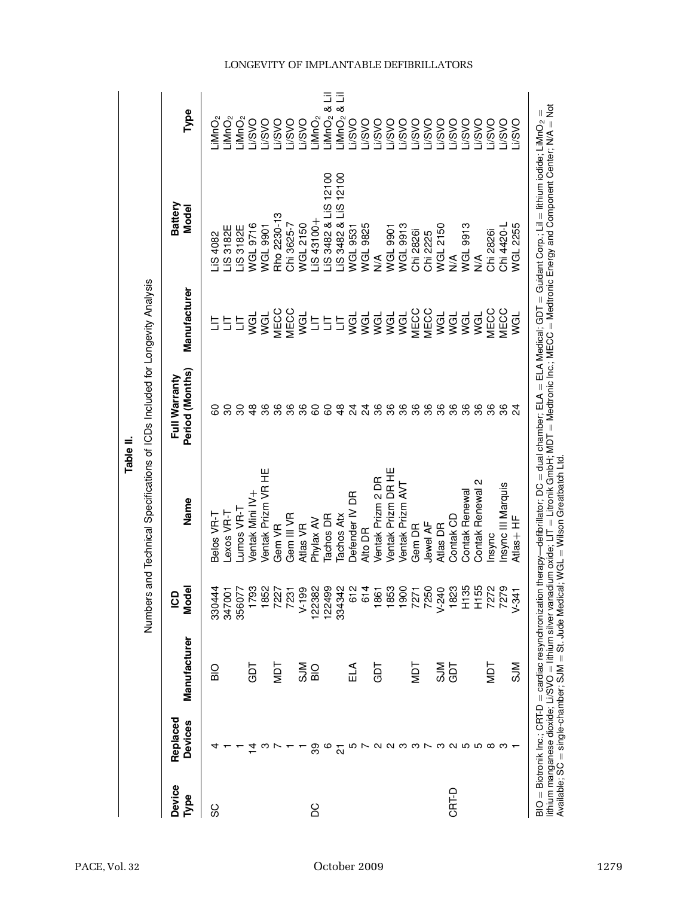| Replaced<br><b>Devices</b><br>Device<br>Type<br>SC |                |                              | s and Technical Specifications of ICDs Included for Longevity Analysis |                                  |              |                         |                              |
|----------------------------------------------------|----------------|------------------------------|------------------------------------------------------------------------|----------------------------------|--------------|-------------------------|------------------------------|
|                                                    | Manufacturer   | Nodel<br><u>ප</u>            | Name                                                                   | Period (Months)<br>Full Warranty | Manufacturer | Battery<br><b>Model</b> | Type                         |
|                                                    | $\frac{0}{10}$ | 330444                       | Belos VR-T                                                             |                                  |              | <b>1S4082</b>           | Limno <sub>2</sub>           |
|                                                    |                | 347001                       | Lexos VR-T                                                             | 8                                | 큰큰큰          | <b>1S3182E</b>          | Limno <sub>2</sub>           |
|                                                    |                | 77<br>3560                   | -umos VR-T                                                             | 80                               |              | <b>1S3182E</b>          | Limno <sub>2</sub>           |
|                                                    | TGD            | 793                          | Ventak Mini IV+                                                        | $\frac{8}{3}$                    | WGL          | WGL 9716                | <b>Li/SVO</b>                |
|                                                    |                | 1852                         | Ventak Prizm VR HE                                                     | 86                               | <b>MGL</b>   | <b>WGL 9901</b>         | <b>CAS/L</b>                 |
|                                                    | Taw            | 7227                         | Gem VR                                                                 | 86                               | MECC         | Rho 2230-13             | <b>CAS/D</b>                 |
|                                                    |                | 7231                         | Gem III VR                                                             | 86                               | MECC         | Chi 3625-7              | <b>CAS/D</b>                 |
|                                                    | <b>MrS</b>     | $V-199$                      | Atlas VR                                                               | 36                               | <b>NGL</b>   | <b>WGL 2150</b>         | Li/SVO                       |
| 8<br>S                                             | $rac{O}{B}$    | 122382                       | Phylax AV                                                              | 8                                |              | LiS 43100+              | LimMO <sub>2</sub>           |
| $\circ$                                            |                | 122499                       | Tachos DR                                                              | 8                                | 与与           | JS 3482 & LIS 12100     | Ξ<br>$\Delta$ <sub>2</sub> & |
| $\overline{\Omega}$                                |                | 334342                       | <b>Tachos Atx</b>                                                      | $\frac{8}{4}$                    | $\Xi$        | LIS 3482 & LIS 12100    | Ξ<br>$\mathsf{MnO}_2$ &      |
| n v                                                | ELA<br>E       | 612                          | БR<br>Defender IV                                                      | $\frac{4}{3}$                    |              | <b>WGL 9531</b>         | Li/SVO                       |
|                                                    |                | $\frac{314}{4}$              | Alto DR                                                                | $\frac{5}{4}$                    | WGL<br>WGL   | <b>WGL 9825</b>         | Li/SVO                       |
|                                                    | TGD            | $\overline{\mathcal{L}}$     | Ventak Prizm 2 DR                                                      | 36                               | <b>WGL</b>   | $\frac{4}{2}$           | <b>CAS/L</b>                 |
|                                                    |                | 1853                         | Ventak Prizm DR HE                                                     | 86                               | <b>WGL</b>   | <b>WGL 9901</b>         | Li/SVO                       |
|                                                    |                |                              | Ventak Prizm AV                                                        | 86<br>86                         | <b>WGL</b>   | <b>WGL 9913</b>         | Li/SVO                       |
|                                                    | <b>LOM</b>     | 1900<br>7271<br>7250<br>7240 | Gem DR                                                                 |                                  | MECC<br>MECC | Chi 2826i               | Li/SVO                       |
|                                                    |                |                              | Jewel AF                                                               | 86                               |              | Chi 2225                | <b>CAS/L</b>                 |
| QQ m m r m q                                       | $rac{5}{6}$    |                              | Atlas DR                                                               | 86                               | <b>WGL</b>   | <b>WGL 2150</b>         | Li/SVO                       |
| CRT-D                                              |                | 1823                         | Contak CD                                                              | 86                               | WGL          | $\frac{1}{2}$           | Li/SVO                       |
|                                                    |                | 135<br>도                     | <b>Contak Renewal</b>                                                  | 86                               | <b>WGL</b>   | <b>WGL 9913</b>         | Li/SVO                       |
| <u>ທ ທ ထ</u>                                       |                | 55<br>H155<br>7272           | Contak Renewal 2                                                       | 86                               | <b>WGL</b>   | $\frac{4}{2}$           | Li/SVO                       |
|                                                    | <b>TGM</b>     |                              | nsync                                                                  | 86                               | MECC         | Chi 2826i               | <b>Li/SVO</b>                |
| ო                                                  |                | 7279                         | nsync III Marquis                                                      | 86                               | MECC         | Chi 4420-L              | J/SVO                        |
|                                                    | <b>MrS</b>     | $\vec{A}$<br>\$-             | Atlas+HF                                                               | 24                               | VGL          | <b>NGL 2255</b>         | <b>OVS/i</b>                 |

LONGEVITY OF IMPLANTABLE DEFIBRILLATORS

Available; SC

single-chamber; SJM

St. Jude Medical; WGL

Wilson Greatbatch Ltd.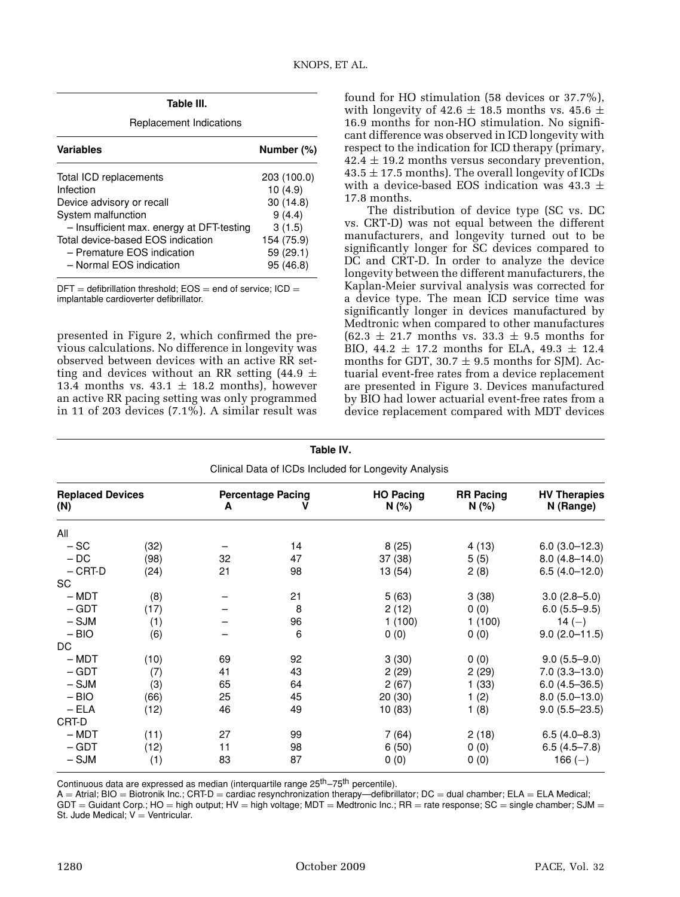### **Table III.**

#### Replacement Indications

| <b>Variables</b>                          | Number (%)  |
|-------------------------------------------|-------------|
| Total ICD replacements                    | 203 (100.0) |
| Infection                                 | 10(4.9)     |
| Device advisory or recall                 | 30(14.8)    |
| System malfunction                        | 9(4.4)      |
| - Insufficient max. energy at DFT-testing | 3(1.5)      |
| Total device-based EOS indication         | 154 (75.9)  |
| - Premature EOS indication                | 59 (29.1)   |
| - Normal EOS indication                   | 95 (46.8)   |

 $DFT =$  defibrillation threshold;  $EOS =$  end of service;  $ICD =$ implantable cardioverter defibrillator.

presented in Figure 2, which confirmed the previous calculations. No difference in longevity was observed between devices with an active RR setting and devices without an RR setting  $(44.9 \pm$ 13.4 months vs.  $43.1 \pm 18.2$  months), however an active RR pacing setting was only programmed in 11 of 203 devices  $(7.1\%)$ . A similar result was found for HO stimulation (58 devices or 37.7%), with longevity of 42.6  $\pm$  18.5 months vs. 45.6  $\pm$ 16.9 months for non-HO stimulation. No significant difference was observed in ICD longevity with respect to the indication for ICD therapy (primary,  $42.4 \pm 19.2$  months versus secondary prevention,  $43.5 \pm 17.5$  months). The overall longevity of ICDs with a device-based EOS indication was  $43.3 \pm$ 17.8 months.

The distribution of device type (SC vs. DC vs. CRT-D) was not equal between the different manufacturers, and longevity turned out to be significantly longer for SC devices compared to DC and CRT-D. In order to analyze the device longevity between the different manufacturers, the Kaplan-Meier survival analysis was corrected for a device type. The mean ICD service time was significantly longer in devices manufactured by Medtronic when compared to other manufactures  $(62.3 \pm 21.7 \text{ months} \text{ vs. } 33.3 \pm 9.5 \text{ months} \text{ for }$ BIO, 44.2  $\pm$  17.2 months for ELA, 49.3  $\pm$  12.4 months for GDT,  $30.7 \pm 9.5$  months for SJM). Actuarial event-free rates from a device replacement are presented in Figure 3. Devices manufactured by BIO had lower actuarial event-free rates from a device replacement compared with MDT devices

| Table IV.                                             |      |                               |    |                           |                           |                                  |  |  |  |
|-------------------------------------------------------|------|-------------------------------|----|---------------------------|---------------------------|----------------------------------|--|--|--|
| Clinical Data of ICDs Included for Longevity Analysis |      |                               |    |                           |                           |                                  |  |  |  |
| <b>Replaced Devices</b><br>(N)                        |      | <b>Percentage Pacing</b><br>A |    | <b>HO Pacing</b><br>N (%) | <b>RR Pacing</b><br>N(% ) | <b>HV Therapies</b><br>N (Range) |  |  |  |
| All                                                   |      |                               |    |                           |                           |                                  |  |  |  |
| $-SC$                                                 | (32) |                               | 14 | 8(25)                     | 4(13)                     | $6.0(3.0-12.3)$                  |  |  |  |
| $-DC$                                                 | (98) | 32                            | 47 | 37(38)                    | 5(5)                      | $8.0(4.8 - 14.0)$                |  |  |  |
| $-$ CRT-D                                             | (24) | 21                            | 98 | 13 (54)                   | 2(8)                      | $6.5(4.0-12.0)$                  |  |  |  |
| <b>SC</b>                                             |      |                               |    |                           |                           |                                  |  |  |  |
| $-MDT$                                                | (8)  |                               | 21 | 5(63)                     | 3(38)                     | $3.0(2.8-5.0)$                   |  |  |  |
| $-$ GDT                                               | (17) |                               | 8  | 2(12)                     | 0(0)                      | $6.0(5.5-9.5)$                   |  |  |  |
| $-$ SJM                                               | (1)  |                               | 96 | 1(100)                    | 1(100)                    | 14 $(-)$                         |  |  |  |
| $-$ BIO                                               | (6)  |                               | 6  | 0(0)                      | 0(0)                      | $9.0(2.0-11.5)$                  |  |  |  |
| DC                                                    |      |                               |    |                           |                           |                                  |  |  |  |
| $-$ MDT                                               | (10) | 69                            | 92 | 3(30)                     | 0(0)                      | $9.0(5.5-9.0)$                   |  |  |  |
| $-$ GDT                                               | (7)  | 41                            | 43 | 2(29)                     | 2(29)                     | $7.0(3.3 - 13.0)$                |  |  |  |
| $-$ SJM                                               | (3)  | 65                            | 64 | 2(67)                     | 1(33)                     | $6.0(4.5 - 36.5)$                |  |  |  |
| $-$ BIO                                               | (66) | 25                            | 45 | 20(30)                    | 1(2)                      | $8.0(5.0-13.0)$                  |  |  |  |
| $-ELA$                                                | (12) | 46                            | 49 | 10(83)                    | 1(8)                      | $9.0(5.5 - 23.5)$                |  |  |  |
| CRT-D                                                 |      |                               |    |                           |                           |                                  |  |  |  |
| $-$ MDT                                               | (11) | 27                            | 99 | 7(64)                     | 2(18)                     | $6.5(4.0 - 8.3)$                 |  |  |  |
| $-$ GDT                                               | (12) | 11                            | 98 | 6(50)                     | 0(0)                      | $6.5(4.5 - 7.8)$                 |  |  |  |
| $-$ SJM                                               | (1)  | 83                            | 87 | 0(0)                      | 0(0)                      | 166 $(-)$                        |  |  |  |

Continuous data are expressed as median (interquartile range 25<sup>th</sup>–75<sup>th</sup> percentile).

 $A =$  Atrial; BIO = Biotronik Inc.; CRT-D = cardiac resynchronization therapy—defibrillator; DC = dual chamber; ELA = ELA Medical;  $GDT =$  Guidant Corp.; HO = high output; HV = high voltage; MDT = Medtronic Inc.; RR = rate response; SC = single chamber; SJM = St. Jude Medical;  $V =$  Ventricular.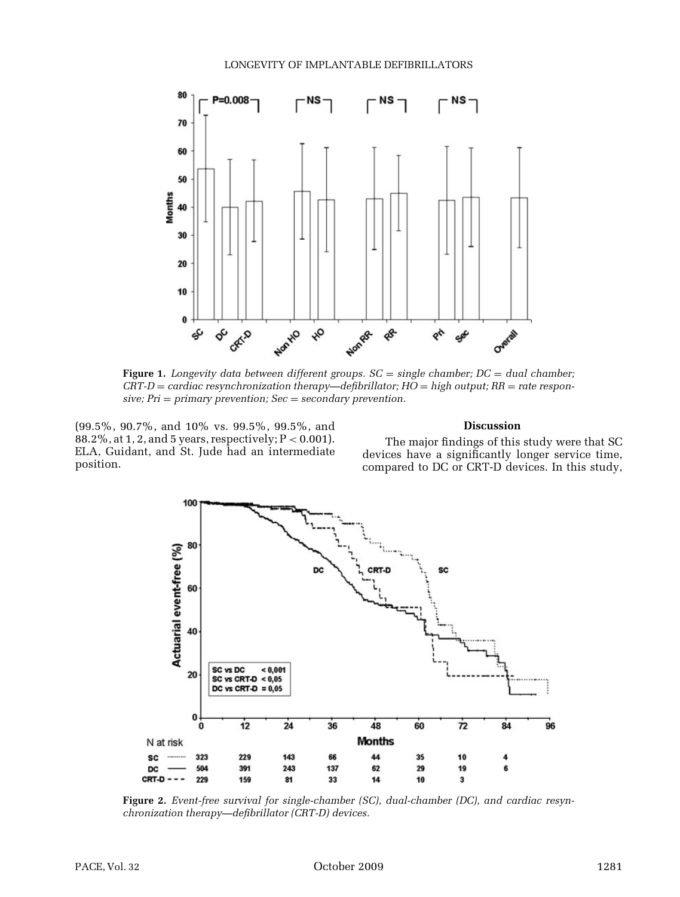

**Figure 1.** *Longevity data between different groups.*  $SC = single chamber$ ;  $DC = dual chamber$ ; *CRT-D* = *cardiac resynchronization therapy—defibrillator; HO* = *high output; RR* = *rate responsive; Pri* = *primary prevention; Sec* = *secondary prevention.*

(99.5%, 90.7%, and 10% vs. 99.5%, 99.5%, and 88.2%, at 1, 2, and 5 years, respectively;  $P < 0.001$ ). ELA, Guidant, and St. Jude had an intermediate position.

#### **Discussion**

The major findings of this study were that SC devices have a significantly longer service time, compared to DC or CRT-D devices. In this study,



**Figure 2.** *Event-free survival for single-chamber (SC), dual-chamber (DC), and cardiac resynchronization therapy—defibrillator (CRT-D) devices.*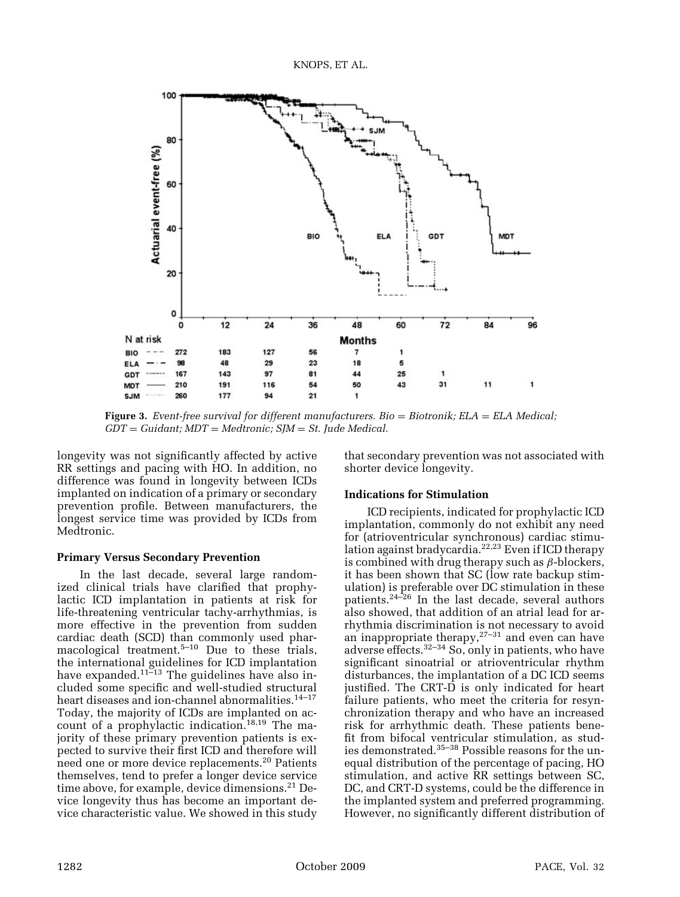

**Figure 3.** *Event-free survival for different manufacturers. Bio* = *Biotronik; ELA* =  $ELA$  *Medical; GDT* = *Guidant; MDT* = *Medtronic; SJM* = *St. Jude Medical.*

longevity was not significantly affected by active RR settings and pacing with HO. In addition, no difference was found in longevity between ICDs implanted on indication of a primary or secondary prevention profile. Between manufacturers, the longest service time was provided by ICDs from Medtronic.

#### **Primary Versus Secondary Prevention**

In the last decade, several large randomized clinical trials have clarified that prophylactic ICD implantation in patients at risk for life-threatening ventricular tachy-arrhythmias, is more effective in the prevention from sudden cardiac death (SCD) than commonly used pharmacological treatment.<sup>5-10</sup> Due to these trials, the international guidelines for ICD implantation have expanded.<sup>11–13</sup> The guidelines have also included some specific and well-studied structural heart diseases and ion-channel abnormalities.<sup>14–17</sup> Today, the majority of ICDs are implanted on account of a prophylactic indication.18,19 The majority of these primary prevention patients is expected to survive their first ICD and therefore will need one or more device replacements.<sup>20</sup> Patients themselves, tend to prefer a longer device service time above, for example, device dimensions.<sup>21</sup> Device longevity thus has become an important device characteristic value. We showed in this study that secondary prevention was not associated with shorter device longevity.

#### **Indications for Stimulation**

ICD recipients, indicated for prophylactic ICD implantation, commonly do not exhibit any need for (atrioventricular synchronous) cardiac stimulation against bradycardia.<sup>22,23</sup> Even if ICD therapy is combined with drug therapy such as  $β$ -blockers, it has been shown that SC (low rate backup stimulation) is preferable over DC stimulation in these patients.24–26 In the last decade, several authors also showed, that addition of an atrial lead for arrhythmia discrimination is not necessary to avoid an inappropriate therapy, $27-31$  and even can have adverse effects. $32-34$  So, only in patients, who have significant sinoatrial or atrioventricular rhythm disturbances, the implantation of a DC ICD seems justified. The CRT-D is only indicated for heart failure patients, who meet the criteria for resynchronization therapy and who have an increased risk for arrhythmic death. These patients benefit from bifocal ventricular stimulation, as studies demonstrated.35–38 Possible reasons for the unequal distribution of the percentage of pacing, HO stimulation, and active RR settings between SC, DC, and CRT-D systems, could be the difference in the implanted system and preferred programming. However, no significantly different distribution of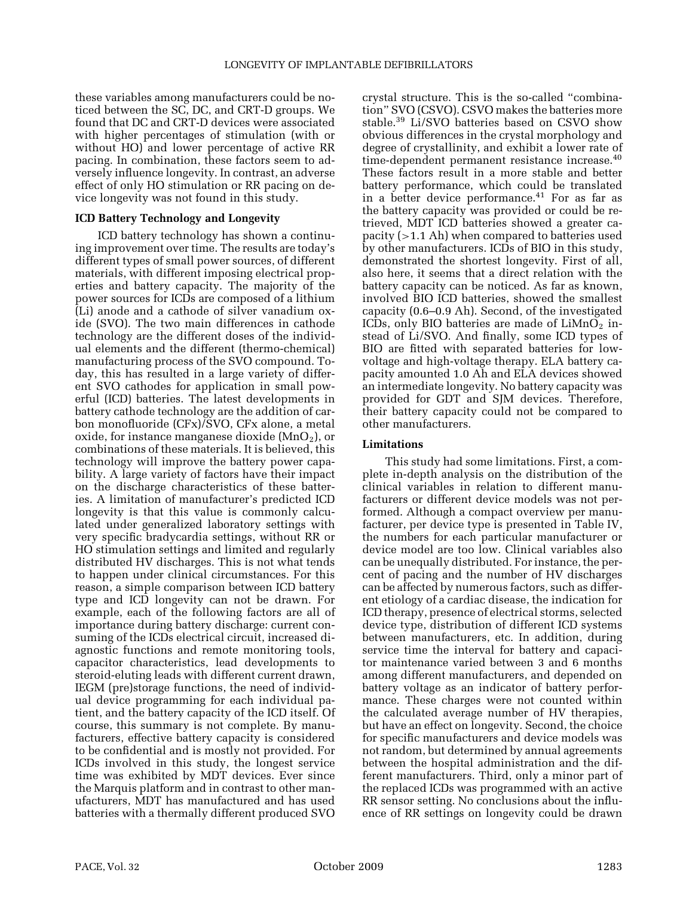these variables among manufacturers could be noticed between the SC, DC, and CRT-D groups. We found that DC and CRT-D devices were associated with higher percentages of stimulation (with or without HO) and lower percentage of active RR pacing. In combination, these factors seem to adversely influence longevity. In contrast, an adverse effect of only HO stimulation or RR pacing on device longevity was not found in this study.

#### **ICD Battery Technology and Longevity**

ICD battery technology has shown a continuing improvement over time. The results are today's different types of small power sources, of different materials, with different imposing electrical properties and battery capacity. The majority of the power sources for ICDs are composed of a lithium (Li) anode and a cathode of silver vanadium oxide (SVO). The two main differences in cathode technology are the different doses of the individual elements and the different (thermo-chemical) manufacturing process of the SVO compound. Today, this has resulted in a large variety of different SVO cathodes for application in small powerful (ICD) batteries. The latest developments in battery cathode technology are the addition of carbon monofluoride (CFx)/SVO, CFx alone, a metal oxide, for instance manganese dioxide  $(MnO<sub>2</sub>)$ , or combinations of these materials. It is believed, this technology will improve the battery power capability. A large variety of factors have their impact on the discharge characteristics of these batteries. A limitation of manufacturer's predicted ICD longevity is that this value is commonly calculated under generalized laboratory settings with very specific bradycardia settings, without RR or HO stimulation settings and limited and regularly distributed HV discharges. This is not what tends to happen under clinical circumstances. For this reason, a simple comparison between ICD battery type and ICD longevity can not be drawn. For example, each of the following factors are all of importance during battery discharge: current consuming of the ICDs electrical circuit, increased diagnostic functions and remote monitoring tools, capacitor characteristics, lead developments to steroid-eluting leads with different current drawn, IEGM (pre)storage functions, the need of individual device programming for each individual patient, and the battery capacity of the ICD itself. Of course, this summary is not complete. By manufacturers, effective battery capacity is considered to be confidential and is mostly not provided. For ICDs involved in this study, the longest service time was exhibited by MDT devices. Ever since the Marquis platform and in contrast to other manufacturers, MDT has manufactured and has used batteries with a thermally different produced SVO

crystal structure. This is the so-called "combination" SVO (CSVO). CSVO makes the batteries more stable.<sup>39</sup> Li/SVO batteries based on CSVO show obvious differences in the crystal morphology and degree of crystallinity, and exhibit a lower rate of time-dependent permanent resistance increase.<sup>40</sup> These factors result in a more stable and better battery performance, which could be translated in a better device performance. $^{41}$  For as far as the battery capacity was provided or could be retrieved, MDT ICD batteries showed a greater capacity (>1.1 Ah) when compared to batteries used by other manufacturers. ICDs of BIO in this study, demonstrated the shortest longevity. First of all, also here, it seems that a direct relation with the battery capacity can be noticed. As far as known, involved BIO ICD batteries, showed the smallest capacity (0.6–0.9 Ah). Second, of the investigated ICDs, only BIO batteries are made of  $LimO<sub>2</sub>$  instead of Li/SVO. And finally, some ICD types of BIO are fitted with separated batteries for lowvoltage and high-voltage therapy. ELA battery capacity amounted 1.0 Ah and ELA devices showed an intermediate longevity. No battery capacity was provided for GDT and SJM devices. Therefore, their battery capacity could not be compared to other manufacturers.

# **Limitations**

This study had some limitations. First, a complete in-depth analysis on the distribution of the clinical variables in relation to different manufacturers or different device models was not performed. Although a compact overview per manufacturer, per device type is presented in Table IV, the numbers for each particular manufacturer or device model are too low. Clinical variables also can be unequally distributed. For instance, the percent of pacing and the number of HV discharges can be affected by numerous factors, such as different etiology of a cardiac disease, the indication for ICD therapy, presence of electrical storms, selected device type, distribution of different ICD systems between manufacturers, etc. In addition, during service time the interval for battery and capacitor maintenance varied between 3 and 6 months among different manufacturers, and depended on battery voltage as an indicator of battery performance. These charges were not counted within the calculated average number of HV therapies, but have an effect on longevity. Second, the choice for specific manufacturers and device models was not random, but determined by annual agreements between the hospital administration and the different manufacturers. Third, only a minor part of the replaced ICDs was programmed with an active RR sensor setting. No conclusions about the influence of RR settings on longevity could be drawn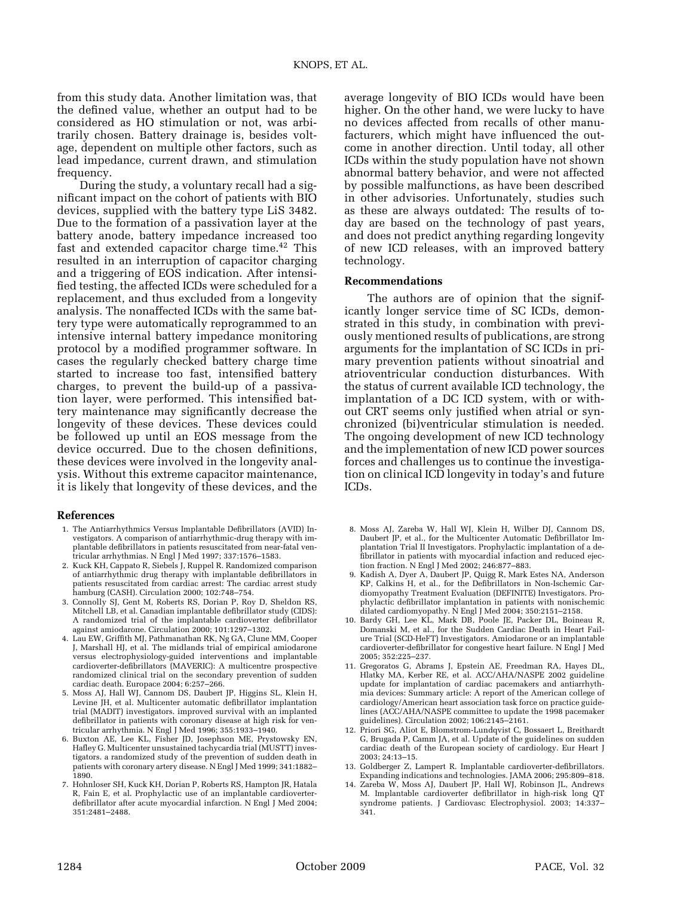from this study data. Another limitation was, that the defined value, whether an output had to be considered as HO stimulation or not, was arbitrarily chosen. Battery drainage is, besides voltage, dependent on multiple other factors, such as lead impedance, current drawn, and stimulation frequency.

During the study, a voluntary recall had a significant impact on the cohort of patients with BIO devices, supplied with the battery type LiS 3482. Due to the formation of a passivation layer at the battery anode, battery impedance increased too fast and extended capacitor charge time.<sup>42</sup> This resulted in an interruption of capacitor charging and a triggering of EOS indication. After intensified testing, the affected ICDs were scheduled for a replacement, and thus excluded from a longevity analysis. The nonaffected ICDs with the same battery type were automatically reprogrammed to an intensive internal battery impedance monitoring protocol by a modified programmer software. In cases the regularly checked battery charge time started to increase too fast, intensified battery charges, to prevent the build-up of a passivation layer, were performed. This intensified battery maintenance may significantly decrease the longevity of these devices. These devices could be followed up until an EOS message from the device occurred. Due to the chosen definitions, these devices were involved in the longevity analysis. Without this extreme capacitor maintenance, it is likely that longevity of these devices, and the

#### **References**

- 1. The Antiarrhythmics Versus Implantable Defibrillators (AVID) Investigators. A comparison of antiarrhythmic-drug therapy with implantable defibrillators in patients resuscitated from near-fatal ventricular arrhythmias. N Engl J Med 1997; 337:1576–1583.
- 2. Kuck KH, Cappato R, Siebels J, Ruppel R. Randomized comparison of antiarrhythmic drug therapy with implantable defibrillators in patients resuscitated from cardiac arrest: The cardiac arrest study hamburg (CASH). Circulation 2000; 102:748–754.
- 3. Connolly SJ, Gent M, Roberts RS, Dorian P, Roy D, Sheldon RS, Mitchell LB, et al. Canadian implantable defibrillator study (CIDS): A randomized trial of the implantable cardioverter defibrillator against amiodarone. Circulation 2000; 101:1297–1302.
- 4. Lau EW, Griffith MJ, Pathmanathan RK, Ng GA, Clune MM, Cooper J, Marshall HJ, et al. The midlands trial of empirical amiodarone versus electrophysiology-guided interventions and implantable cardioverter-defibrillators (MAVERIC): A multicentre prospective randomized clinical trial on the secondary prevention of sudden cardiac death. Europace 2004; 6:257–266.
- 5. Moss AJ, Hall WJ, Cannom DS, Daubert JP, Higgins SL, Klein H, Levine JH, et al. Multicenter automatic defibrillator implantation trial (MADIT) investigators. improved survival with an implanted defibrillator in patients with coronary disease at high risk for ven-
- tricular arrhythmia. N Engl J Med 1996; 355:1933–1940. 6. Buxton AE, Lee KL, Fisher JD, Josephson ME, Prystowsky EN, Hafley G. Multicenter unsustained tachycardia trial (MUSTT) investigators. a randomized study of the prevention of sudden death in patients with coronary artery disease. N Engl J Med 1999; 341:1882– 1890.
- 7. Hohnloser SH, Kuck KH, Dorian P, Roberts RS, Hampton JR, Hatala R, Fain E, et al. Prophylactic use of an implantable cardioverterdefibrillator after acute myocardial infarction. N Engl J Med 2004; 351:2481–2488.

average longevity of BIO ICDs would have been higher. On the other hand, we were lucky to have no devices affected from recalls of other manufacturers, which might have influenced the outcome in another direction. Until today, all other ICDs within the study population have not shown abnormal battery behavior, and were not affected by possible malfunctions, as have been described in other advisories. Unfortunately, studies such as these are always outdated: The results of today are based on the technology of past years, and does not predict anything regarding longevity of new ICD releases, with an improved battery technology.

#### **Recommendations**

The authors are of opinion that the significantly longer service time of SC ICDs, demonstrated in this study, in combination with previously mentioned results of publications, are strong arguments for the implantation of SC ICDs in primary prevention patients without sinoatrial and atrioventricular conduction disturbances. With the status of current available ICD technology, the implantation of a DC ICD system, with or without CRT seems only justified when atrial or synchronized (bi)ventricular stimulation is needed. The ongoing development of new ICD technology and the implementation of new ICD power sources forces and challenges us to continue the investigation on clinical ICD longevity in today's and future ICDs.

- 8. Moss AJ, Zareba W, Hall WJ, Klein H, Wilber DJ, Cannom DS, Daubert JP, et al., for the Multicenter Automatic Defibrillator Implantation Trial II Investigators. Prophylactic implantation of a defibrillator in patients with myocardial infaction and reduced ejection fraction. N Engl J Med 2002; 246:877–883.
- 9. Kadish A, Dyer A, Daubert JP, Quigg R, Mark Estes NA, Anderson KP, Calkins H, et al., for the Defibrillators in Non-Ischemic Cardiomyopathy Treatment Evaluation (DEFINITE) Investigators. Prophylactic defibrillator implantation in patients with nonischemic dilated cardiomyopathy. N Engl J Med 2004; 350:2151–2158.
- 10. Bardy GH, Lee KL, Mark DB, Poole JE, Packer DL, Boineau R, Domanski M, et al., for the Sudden Cardiac Death in Heart Failure Trial (SCD-HeFT) Investigators. Amiodarone or an implantable cardioverter-defibrillator for congestive heart failure. N Engl J Med 2005; 352:225–237.
- 11. Gregoratos G, Abrams J, Epstein AE, Freedman RA, Hayes DL, Hlatky MA, Kerber RE, et al. ACC/AHA/NASPE 2002 guideline update for implantation of cardiac pacemakers and antiarrhythmia devices: Summary article: A report of the American college of cardiology/American heart association task force on practice guidelines (ACC/AHA/NASPE committee to update the 1998 pacemaker guidelines). Circulation 2002; 106:2145–2161.
- 12. Priori SG, Aliot E, Blomstrom-Lundqvist C, Bossaert L, Breithardt G, Brugada P, Camm JA, et al. Update of the guidelines on sudden cardiac death of the European society of cardiology. Eur Heart J 2003; 24:13–15.
- 13. Goldberger Z, Lampert R. Implantable cardioverter-defibrillators.
- Expanding indications and technologies. JAMA 2006; 295:809–818. 14. Zareba W, Moss AJ, Daubert JP, Hall WJ, Robinson JL, Andrews M. Implantable cardioverter defibrillator in high-risk long QT syndrome patients. J Cardiovasc Electrophysiol. 2003; 14:337– 341.